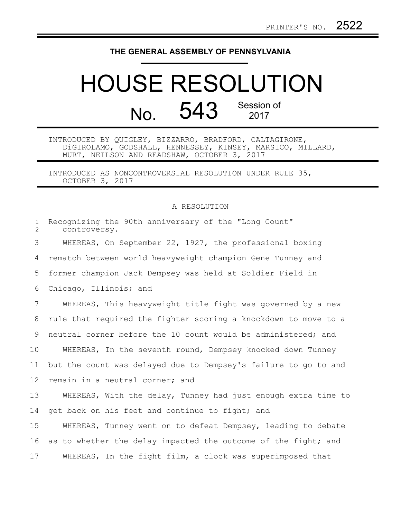## **THE GENERAL ASSEMBLY OF PENNSYLVANIA**

## HOUSE RESOLUTION No. 543 Session of

INTRODUCED BY QUIGLEY, BIZZARRO, BRADFORD, CALTAGIRONE, DiGIROLAMO, GODSHALL, HENNESSEY, KINSEY, MARSICO, MILLARD, MURT, NEILSON AND READSHAW, OCTOBER 3, 2017

INTRODUCED AS NONCONTROVERSIAL RESOLUTION UNDER RULE 35, OCTOBER 3, 2017

## A RESOLUTION

| $\mathbf{1}$<br>$\overline{2}$ | Recognizing the 90th anniversary of the "Long Count"<br>controversy. |
|--------------------------------|----------------------------------------------------------------------|
| 3                              | WHEREAS, On September 22, 1927, the professional boxing              |
| 4                              | rematch between world heavyweight champion Gene Tunney and           |
| 5                              | former champion Jack Dempsey was held at Soldier Field in            |
| 6                              | Chicago, Illinois; and                                               |
| $7\overline{ }$                | WHEREAS, This heavyweight title fight was governed by a new          |
| 8                              | rule that required the fighter scoring a knockdown to move to a      |
| 9                              | neutral corner before the 10 count would be administered; and        |
| 10                             | WHEREAS, In the seventh round, Dempsey knocked down Tunney           |
| 11                             | but the count was delayed due to Dempsey's failure to go to and      |
| 12                             | remain in a neutral corner; and                                      |
| 13                             | WHEREAS, With the delay, Tunney had just enough extra time to        |
| 14                             | get back on his feet and continue to fight; and                      |
| 15                             | WHEREAS, Tunney went on to defeat Dempsey, leading to debate         |
| 16                             | as to whether the delay impacted the outcome of the fight; and       |
| 17                             | WHEREAS, In the fight film, a clock was superimposed that            |